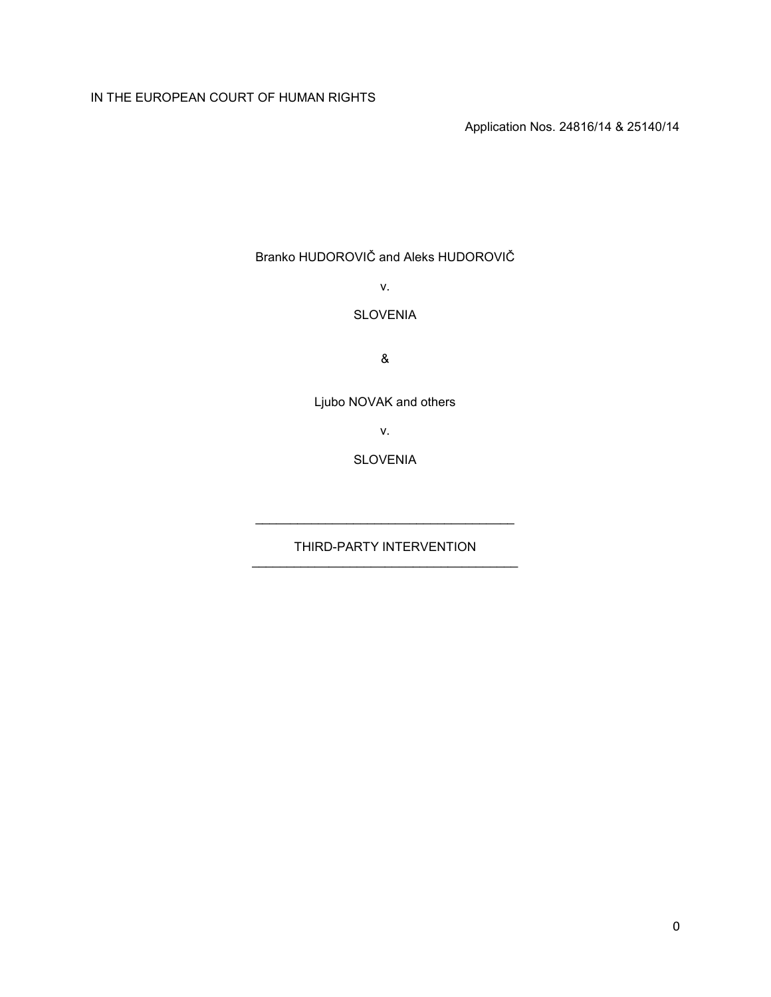# IN THE EUROPEAN COURT OF HUMAN RIGHTS

Application Nos. 24816/14 & 25140/14

Branko HUDOROVIČ and Aleks HUDOROVIČ

v.

## SLOVENIA

&

Ljubo NOVAK and others

v.

SLOVENIA

THIRD-PARTY INTERVENTION \_\_\_\_\_\_\_\_\_\_\_\_\_\_\_\_\_\_\_\_\_\_\_\_\_\_\_\_\_\_\_\_\_\_\_\_\_\_

\_\_\_\_\_\_\_\_\_\_\_\_\_\_\_\_\_\_\_\_\_\_\_\_\_\_\_\_\_\_\_\_\_\_\_\_\_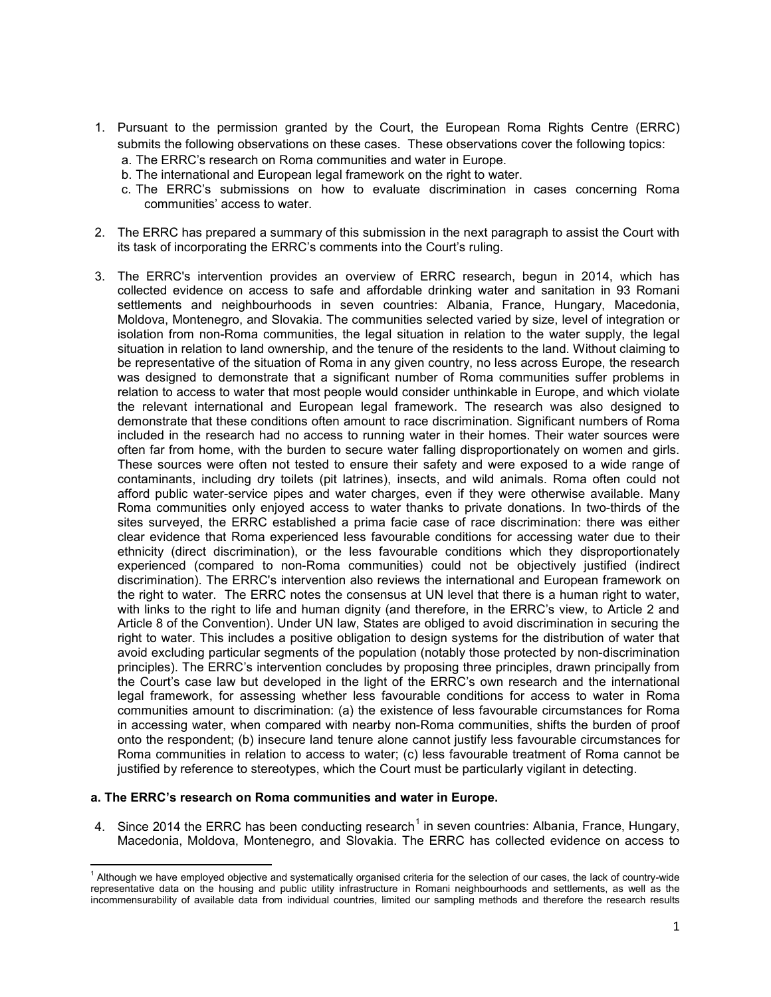- 1. Pursuant to the permission granted by the Court, the European Roma Rights Centre (ERRC) submits the following observations on these cases. These observations cover the following topics:
	- a. The ERRC's research on Roma communities and water in Europe.
	- b. The international and European legal framework on the right to water.
	- c. The ERRC's submissions on how to evaluate discrimination in cases concerning Roma communities' access to water.
- 2. The ERRC has prepared a summary of this submission in the next paragraph to assist the Court with its task of incorporating the ERRC's comments into the Court's ruling.
- 3. The ERRC's intervention provides an overview of ERRC research, begun in 2014, which has collected evidence on access to safe and affordable drinking water and sanitation in 93 Romani settlements and neighbourhoods in seven countries: Albania, France, Hungary, Macedonia, Moldova, Montenegro, and Slovakia. The communities selected varied by size, level of integration or isolation from non-Roma communities, the legal situation in relation to the water supply, the legal situation in relation to land ownership, and the tenure of the residents to the land. Without claiming to be representative of the situation of Roma in any given country, no less across Europe, the research was designed to demonstrate that a significant number of Roma communities suffer problems in relation to access to water that most people would consider unthinkable in Europe, and which violate the relevant international and European legal framework. The research was also designed to demonstrate that these conditions often amount to race discrimination. Significant numbers of Roma included in the research had no access to running water in their homes. Their water sources were often far from home, with the burden to secure water falling disproportionately on women and girls. These sources were often not tested to ensure their safety and were exposed to a wide range of contaminants, including dry toilets (pit latrines), insects, and wild animals. Roma often could not afford public water-service pipes and water charges, even if they were otherwise available. Many Roma communities only enjoyed access to water thanks to private donations. In two-thirds of the sites surveyed, the ERRC established a prima facie case of race discrimination: there was either clear evidence that Roma experienced less favourable conditions for accessing water due to their ethnicity (direct discrimination), or the less favourable conditions which they disproportionately experienced (compared to non-Roma communities) could not be objectively justified (indirect discrimination). The ERRC's intervention also reviews the international and European framework on the right to water. The ERRC notes the consensus at UN level that there is a human right to water, with links to the right to life and human dignity (and therefore, in the ERRC's view, to Article 2 and Article 8 of the Convention). Under UN law, States are obliged to avoid discrimination in securing the right to water. This includes a positive obligation to design systems for the distribution of water that avoid excluding particular segments of the population (notably those protected by non-discrimination principles). The ERRC's intervention concludes by proposing three principles, drawn principally from the Court's case law but developed in the light of the ERRC's own research and the international legal framework, for assessing whether less favourable conditions for access to water in Roma communities amount to discrimination: (a) the existence of less favourable circumstances for Roma in accessing water, when compared with nearby non-Roma communities, shifts the burden of proof onto the respondent; (b) insecure land tenure alone cannot justify less favourable circumstances for Roma communities in relation to access to water; (c) less favourable treatment of Roma cannot be justified by reference to stereotypes, which the Court must be particularly vigilant in detecting.

#### **a. The ERRC's research on Roma communities and water in Europe.**

l

<span id="page-1-1"></span>4. Since 20[1](#page-1-0)4 the ERRC has been conducting research<sup>1</sup> in seven countries: Albania, France, Hungary, Macedonia, Moldova, Montenegro, and Slovakia. The ERRC has collected evidence on access to

<span id="page-1-0"></span><sup>&</sup>lt;sup>1</sup> Although we have employed objective and systematically organised criteria for the selection of our cases, the lack of country-wide representative data on the housing and public utility infrastructure in Romani neighbourhoods and settlements, as well as the incommensurability of available data from individual countries, limited our sampling methods and therefore the research results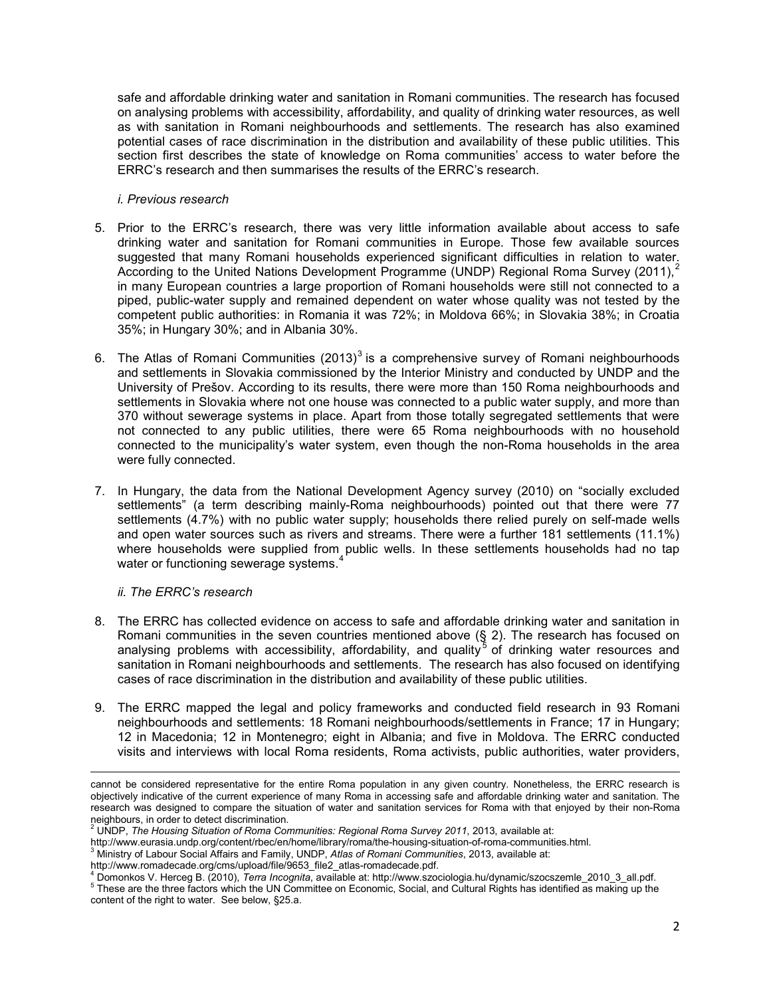safe and affordable drinking water and sanitation in Romani communities. The research has focused on analysing problems with accessibility, affordability, and quality of drinking water resources, as well as with sanitation in Romani neighbourhoods and settlements. The research has also examined potential cases of race discrimination in the distribution and availability of these public utilities. This section first describes the state of knowledge on Roma communities' access to water before the ERRC's research and then summarises the results of the ERRC's research.

#### *i. Previous research*

- 5. Prior to the ERRC's research, there was very little information available about access to safe drinking water and sanitation for Romani communities in Europe. Those few available sources suggested that many Romani households experienced significant difficulties in relation to water. According to the United Nations Development Programme (UNDP) Regional Roma Survey ([2](#page-2-0)011),<sup>2</sup> in many European countries a large proportion of Romani households were still not connected to a piped, public-water supply and remained dependent on water whose quality was not tested by the competent public authorities: in Romania it was 72%; in Moldova 66%; in Slovakia 38%; in Croatia 35%; in Hungary 30%; and in Albania 30%.
- 6. The Atlas of Romani Communities (201[3](#page-2-1)) $3$  is a comprehensive survey of Romani neighbourhoods and settlements in Slovakia commissioned by the Interior Ministry and conducted by UNDP and the University of Prešov. According to its results, there were more than 150 Roma neighbourhoods and settlements in Slovakia where not one house was connected to a public water supply, and more than 370 without sewerage systems in place. Apart from those totally segregated settlements that were not connected to any public utilities, there were 65 Roma neighbourhoods with no household connected to the municipality's water system, even though the non-Roma households in the area were fully connected.
- 7. In Hungary, the data from the National Development Agency survey (2010) on "socially excluded settlements" (a term describing mainly-Roma neighbourhoods) pointed out that there were 77 settlements (4.7%) with no public water supply; households there relied purely on self-made wells and open water sources such as rivers and streams. There were a further 181 settlements (11.1%) where households were supplied from public wells. In these settlements households had no tap water or functioning sewerage systems.<sup>[4](#page-2-2)</sup>

#### *ii. The ERRC's research*

- 8. The ERRC has collected evidence on access to safe and affordable drinking water and sanitation in Romani communities in the seven countries mentioned above (§ [2\)](#page-1-1). The research has focused on analysing problems with accessibility, affordability, and quality  $\overline{5}$  $\overline{5}$  $\overline{5}$  of drinking water resources and sanitation in Romani neighbourhoods and settlements. The research has also focused on identifying cases of race discrimination in the distribution and availability of these public utilities.
- 9. The ERRC mapped the legal and policy frameworks and conducted field research in 93 Romani neighbourhoods and settlements: 18 Romani neighbourhoods/settlements in France; 17 in Hungary; 12 in Macedonia; 12 in Montenegro; eight in Albania; and five in Moldova. The ERRC conducted visits and interviews with local Roma residents, Roma activists, public authorities, water providers,

l cannot be considered representative for the entire Roma population in any given country. Nonetheless, the ERRC research is objectively indicative of the current experience of many Roma in accessing safe and affordable drinking water and sanitation. The research was designed to compare the situation of water and sanitation services for Roma with that enjoyed by their non-Roma neighbours, in order to detect discrimination.<br>
<sup>2</sup> UNDP, *The Housing Situation of Roma Communities: Regional Roma Survey 2011*, 2013, available at:<br>
http://www.eurasia.undp.org/content/rbec/en/home/library/roma/the-housi

<span id="page-2-0"></span>

http://www.eurasia.undprec.grocontent/recream-content/recream-communities.html. 3 Ministry of Labour Social Affairs and Family, UNDP, *Atlas of Romani Communities*, 2013, available at:

<span id="page-2-3"></span><span id="page-2-2"></span><span id="page-2-1"></span>http://www.romadecade.org/cms/upload/file/9653\_file2\_atlas-romadecade.pdf.<br>4 Domonkos V. Herceg B. (2010), Terra Incognita, available at: http://www.szociologia.hu/dynamic/szocszemle\_2010\_3\_all.pdf.<br>6 These are the three f content of the right to water. See below, §25.a.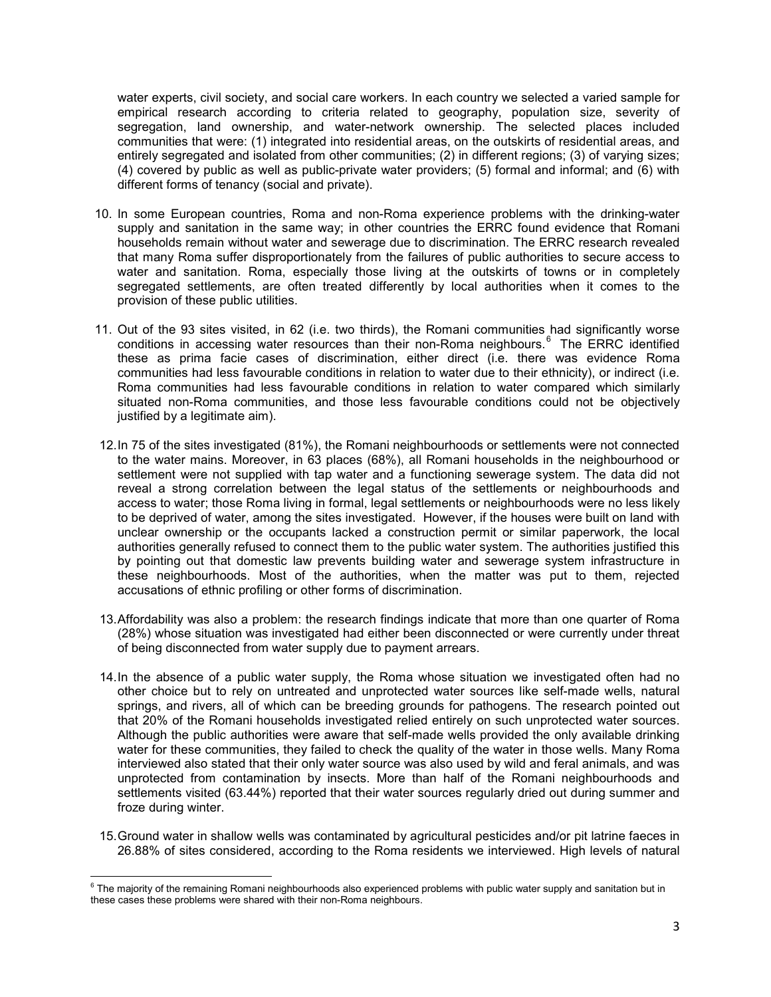water experts, civil society, and social care workers. In each country we selected a varied sample for empirical research according to criteria related to geography, population size, severity of segregation, land ownership, and water-network ownership. The selected places included communities that were: (1) integrated into residential areas, on the outskirts of residential areas, and entirely segregated and isolated from other communities; (2) in different regions; (3) of varying sizes; (4) covered by public as well as public-private water providers; (5) formal and informal; and (6) with different forms of tenancy (social and private).

- 10. In some European countries, Roma and non-Roma experience problems with the drinking-water supply and sanitation in the same way; in other countries the ERRC found evidence that Romani households remain without water and sewerage due to discrimination. The ERRC research revealed that many Roma suffer disproportionately from the failures of public authorities to secure access to water and sanitation. Roma, especially those living at the outskirts of towns or in completely segregated settlements, are often treated differently by local authorities when it comes to the provision of these public utilities.
- 11. Out of the 93 sites visited, in 62 (i.e. two thirds), the Romani communities had significantly worse conditions in accessing water resources than their non-Roma neighbours.<sup>[6](#page-3-0)</sup> The ERRC identified these as prima facie cases of discrimination, either direct (i.e. there was evidence Roma communities had less favourable conditions in relation to water due to their ethnicity), or indirect (i.e. Roma communities had less favourable conditions in relation to water compared which similarly situated non-Roma communities, and those less favourable conditions could not be objectively justified by a legitimate aim).
- 12.In 75 of the sites investigated (81%), the Romani neighbourhoods or settlements were not connected to the water mains. Moreover, in 63 places (68%), all Romani households in the neighbourhood or settlement were not supplied with tap water and a functioning sewerage system. The data did not reveal a strong correlation between the legal status of the settlements or neighbourhoods and access to water; those Roma living in formal, legal settlements or neighbourhoods were no less likely to be deprived of water, among the sites investigated. However, if the houses were built on land with unclear ownership or the occupants lacked a construction permit or similar paperwork, the local authorities generally refused to connect them to the public water system. The authorities justified this by pointing out that domestic law prevents building water and sewerage system infrastructure in these neighbourhoods. Most of the authorities, when the matter was put to them, rejected accusations of ethnic profiling or other forms of discrimination.
- 13.Affordability was also a problem: the research findings indicate that more than one quarter of Roma (28%) whose situation was investigated had either been disconnected or were currently under threat of being disconnected from water supply due to payment arrears.
- 14.In the absence of a public water supply, the Roma whose situation we investigated often had no other choice but to rely on untreated and unprotected water sources like self-made wells, natural springs, and rivers, all of which can be breeding grounds for pathogens. The research pointed out that 20% of the Romani households investigated relied entirely on such unprotected water sources. Although the public authorities were aware that self-made wells provided the only available drinking water for these communities, they failed to check the quality of the water in those wells. Many Roma interviewed also stated that their only water source was also used by wild and feral animals, and was unprotected from contamination by insects. More than half of the Romani neighbourhoods and settlements visited (63.44%) reported that their water sources regularly dried out during summer and froze during winter.
- 15.Ground water in shallow wells was contaminated by agricultural pesticides and/or pit latrine faeces in 26.88% of sites considered, according to the Roma residents we interviewed. High levels of natural

<span id="page-3-0"></span> $\overline{\phantom{a}}$  $6$  The majority of the remaining Romani neighbourhoods also experienced problems with public water supply and sanitation but in these cases these problems were shared with their non-Roma neighbours.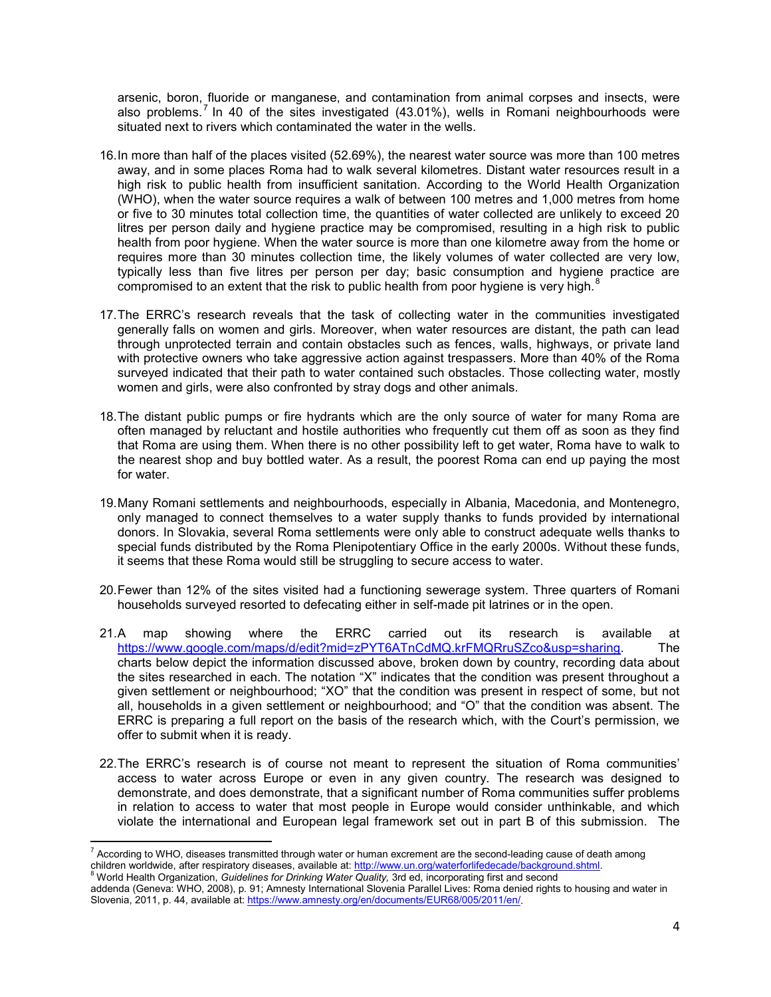arsenic, boron, fluoride or manganese, and contamination from animal corpses and insects, were also problems.<sup>[7](#page-4-0)</sup> In 40 of the sites investigated  $(43.01\%)$ , wells in Romani neighbourhoods were situated next to rivers which contaminated the water in the wells.

- 16.In more than half of the places visited (52.69%), the nearest water source was more than 100 metres away, and in some places Roma had to walk several kilometres. Distant water resources result in a high risk to public health from insufficient sanitation. According to the World Health Organization (WHO), when the water source requires a walk of between 100 metres and 1,000 metres from home or five to 30 minutes total collection time, the quantities of water collected are unlikely to exceed 20 litres per person daily and hygiene practice may be compromised, resulting in a high risk to public health from poor hygiene. When the water source is more than one kilometre away from the home or requires more than 30 minutes collection time, the likely volumes of water collected are very low, typically less than five litres per person per day; basic consumption and hygiene practice are compromised to an extent that the risk to public health from poor hygiene is very high. $8$
- 17.The ERRC's research reveals that the task of collecting water in the communities investigated generally falls on women and girls. Moreover, when water resources are distant, the path can lead through unprotected terrain and contain obstacles such as fences, walls, highways, or private land with protective owners who take aggressive action against trespassers. More than 40% of the Roma surveyed indicated that their path to water contained such obstacles. Those collecting water, mostly women and girls, were also confronted by stray dogs and other animals.
- 18.The distant public pumps or fire hydrants which are the only source of water for many Roma are often managed by reluctant and hostile authorities who frequently cut them off as soon as they find that Roma are using them. When there is no other possibility left to get water, Roma have to walk to the nearest shop and buy bottled water. As a result, the poorest Roma can end up paying the most for water.
- 19.Many Romani settlements and neighbourhoods, especially in Albania, Macedonia, and Montenegro, only managed to connect themselves to a water supply thanks to funds provided by international donors. In Slovakia, several Roma settlements were only able to construct adequate wells thanks to special funds distributed by the Roma Plenipotentiary Office in the early 2000s. Without these funds, it seems that these Roma would still be struggling to secure access to water.
- 20.Fewer than 12% of the sites visited had a functioning sewerage system. Three quarters of Romani households surveyed resorted to defecating either in self-made pit latrines or in the open.
- 21.A map showing where the ERRC carried out its research is available at [https://www.google.com/maps/d/edit?mid=zPYT6ATnCdMQ.krFMQRruSZco&usp=sharing.](https://www.google.com/maps/d/edit?mid=zPYT6ATnCdMQ.krFMQRruSZco&usp=sharing) The charts below depict the information discussed above, broken down by country, recording data about the sites researched in each. The notation "X" indicates that the condition was present throughout a given settlement or neighbourhood; "XO" that the condition was present in respect of some, but not all, households in a given settlement or neighbourhood; and "O" that the condition was absent. The ERRC is preparing a full report on the basis of the research which, with the Court's permission, we offer to submit when it is ready.
- 22.The ERRC's research is of course not meant to represent the situation of Roma communities' access to water across Europe or even in any given country. The research was designed to demonstrate, and does demonstrate, that a significant number of Roma communities suffer problems in relation to access to water that most people in Europe would consider unthinkable, and which violate the international and European legal framework set out in part B of this submission. The

l

<span id="page-4-0"></span> $^7$  According to WHO, diseases transmitted through water or human excrement are the second-leading cause of death among containing to three, accessors transmissed throught hatch of http://www.un.org/waterforlifedecade/background.shtml.<br>
<sup>8</sup> World Health Organization, *Guidelines for Drinking Water Quality, 3rd ed, incorporating first and se* 

<span id="page-4-1"></span>addenda (Geneva: WHO, 2008), p. 91; Amnesty International Slovenia Parallel Lives: Roma denied rights to housing and water in Slovenia, 2011, p. 44, available at[: https://www.amnesty.org/en/documents/EUR68/005/2011/en/](https://www.amnesty.org/en/documents/EUR68/005/2011/en/).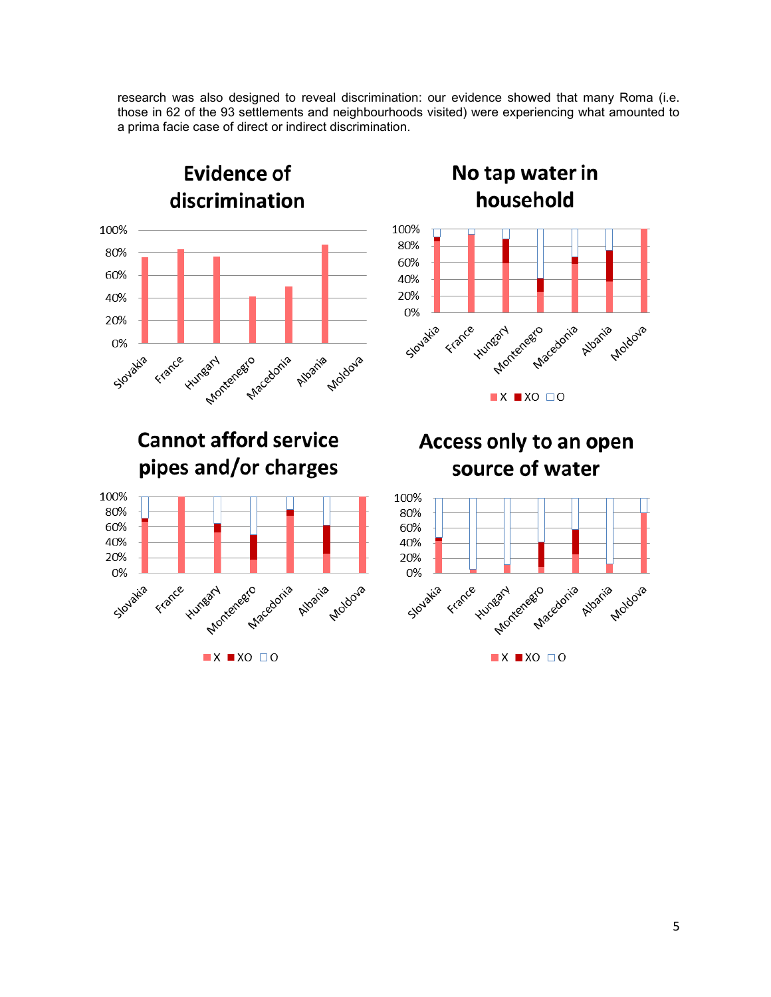research was also designed to reveal discrimination: our evidence showed that many Roma (i.e. those in 62 of the 93 settlements and neighbourhoods visited) were experiencing what amounted to a prima facie case of direct or indirect discrimination.

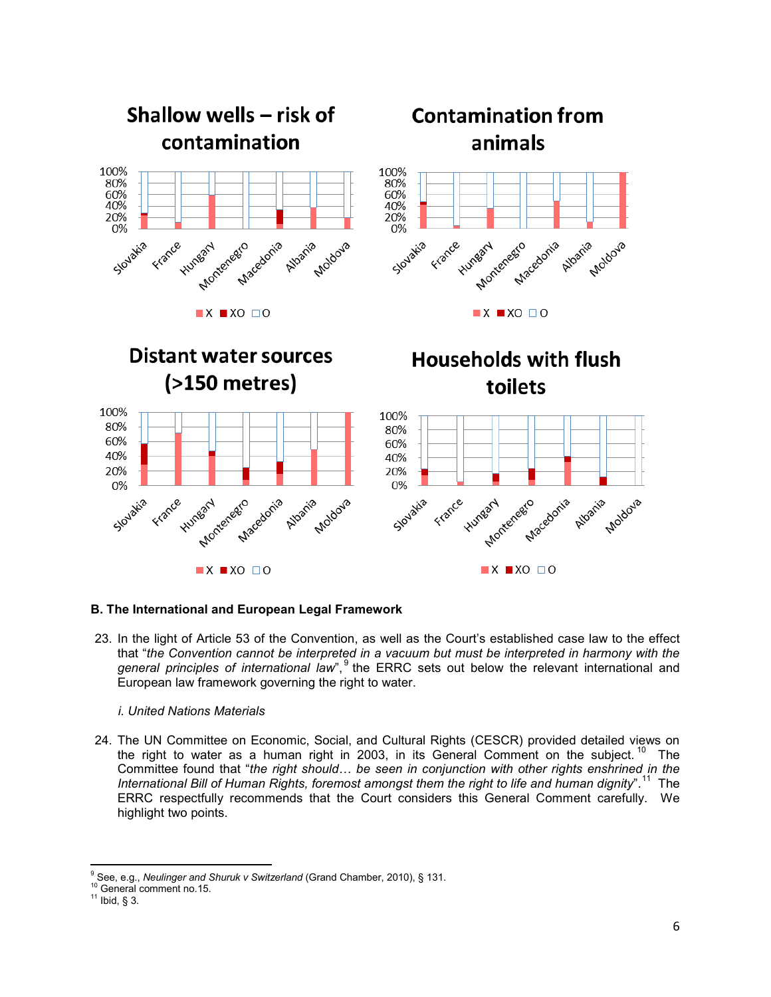

## **B. The International and European Legal Framework**

23. In the light of Article 53 of the Convention, as well as the Court's established case law to the effect that "*the Convention cannot be interpreted in a vacuum but must be interpreted in harmony with the general principles of international law*",<sup>[9](#page-6-0)</sup> the ERRC sets out below the relevant international and European law framework governing the right to water.

#### *i. United Nations Materials*

24. The UN Committee on Economic, Social, and Cultural Rights (CESCR) provided detailed views on the right to water as a human right in 2003, in its General Comment on the subject.<sup>[10](#page-6-1)</sup> The Committee found that "*the right should… be seen in conjunction with other rights enshrined in the International Bill of Human Rights, foremost amongst them the right to life and human dignity*".[11](#page-6-2) The ERRC respectfully recommends that the Court considers this General Comment carefully. We highlight two points.

<span id="page-6-0"></span>l <sup>9</sup> See, e.g., *Neulinger and Shuruk v Switzerland (*Grand Chamber, 2010), § 131.<br><sup>10</sup> General comment no.15.<br><sup>11</sup> Ibid, § 3.

<span id="page-6-1"></span>

<span id="page-6-2"></span>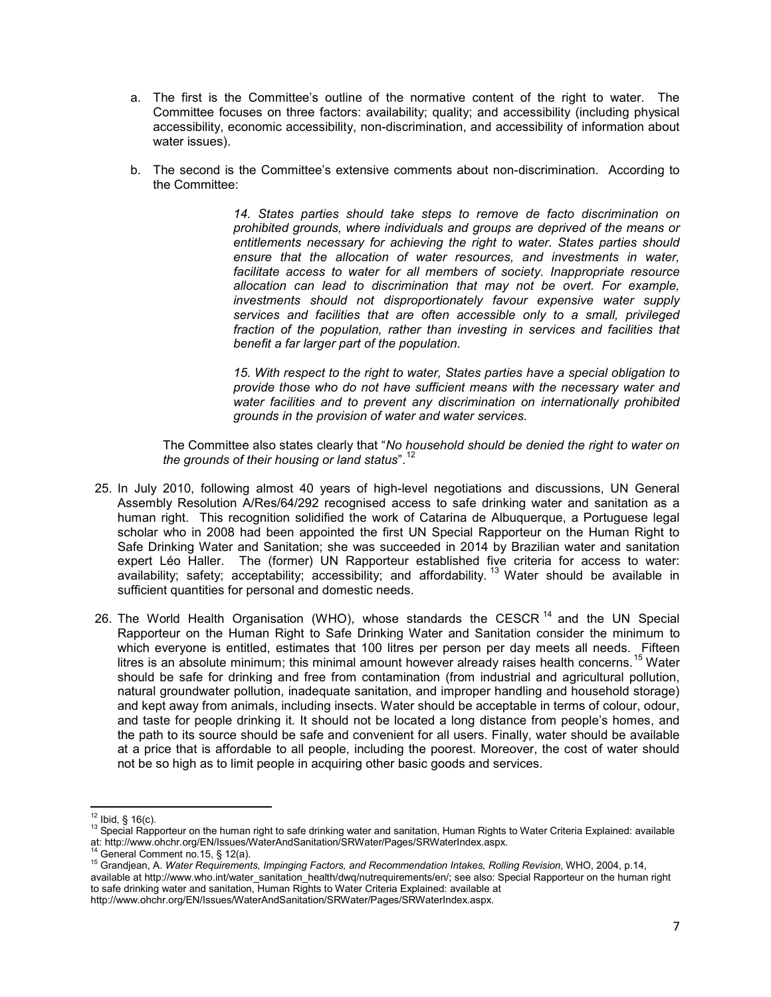- a. The first is the Committee's outline of the normative content of the right to water. The Committee focuses on three factors: availability; quality; and accessibility (including physical accessibility, economic accessibility, non-discrimination, and accessibility of information about water issues).
- b. The second is the Committee's extensive comments about non-discrimination. According to the Committee:

*14. States parties should take steps to remove de facto discrimination on prohibited grounds, where individuals and groups are deprived of the means or entitlements necessary for achieving the right to water. States parties should ensure that the allocation of water resources, and investments in water, facilitate access to water for all members of society. Inappropriate resource allocation can lead to discrimination that may not be overt. For example, investments should not disproportionately favour expensive water supply services and facilities that are often accessible only to a small, privileged*  fraction of the population, rather than investing in services and facilities that *benefit a far larger part of the population.*

*15. With respect to the right to water, States parties have a special obligation to provide those who do not have sufficient means with the necessary water and water facilities and to prevent any discrimination on internationally prohibited grounds in the provision of water and water services.*

The Committee also states clearly that "*No household should be denied the right to water on the grounds of their housing or land status*". [12](#page-7-0)

- 25. In July 2010, following almost 40 years of high-level negotiations and discussions, UN General Assembly Resolution A/Res/64/292 recognised access to safe drinking water and sanitation as a human right. This recognition solidified the work of Catarina de Albuquerque, a Portuguese legal scholar who in 2008 had been appointed the first UN Special Rapporteur on the Human Right to Safe Drinking Water and Sanitation; she was succeeded in 2014 by Brazilian water and sanitation expert Léo Haller. The (former) UN Rapporteur established five criteria for access to water: availability; safety; acceptability; accessibility; and affordability.<sup>[13](#page-7-1)</sup> Water should be available in sufficient quantities for personal and domestic needs.
- 26. The World Health Organisation (WHO), whose standards the CESCR<sup>[14](#page-7-2)</sup> and the UN Special Rapporteur on the Human Right to Safe Drinking Water and Sanitation consider the minimum to which everyone is entitled, estimates that 100 litres per person per day meets all needs. Fifteen litres is an absolute minimum; this minimal amount however already raises health concerns.<sup>[15](#page-7-3)</sup> Water should be safe for drinking and free from contamination (from industrial and agricultural pollution, natural groundwater pollution, inadequate sanitation, and improper handling and household storage) and kept away from animals, including insects. Water should be acceptable in terms of colour, odour, and taste for people drinking it. It should not be located a long distance from people's homes, and the path to its source should be safe and convenient for all users. Finally, water should be available at a price that is affordable to all people, including the poorest. Moreover, the cost of water should not be so high as to limit people in acquiring other basic goods and services.

<span id="page-7-3"></span>available at http://www.who.int/water\_sanitation\_health/dwq/nutrequirements/en/; see also: Special Rapporteur on the human right to safe drinking water and sanitation, Human Rights to Water Criteria Explained: available at

http://www.ohchr.org/EN/Issues/WaterAndSanitation/SRWater/Pages/SRWaterIndex.aspx.

 $12$  Ibid, § 16(c).

<span id="page-7-1"></span><span id="page-7-0"></span><sup>&</sup>lt;sup>13</sup> Special Rapporteur on the human right to safe drinking water and sanitation, Human Rights to Water Criteria Explained: available<br>at: http://www.ohchr.org/EN/Issues/WaterAndSanitation/SRWater/Pages/SRWaterIndex.aspx.

<span id="page-7-2"></span><sup>&</sup>lt;sup>14</sup> General Comment no.15, § 12(a).<br><sup>15</sup> Grandjean, A. Water Requirements, Impinging Factors, and Recommendation Intakes, Rolling Revision, WHO, 2004, p.14,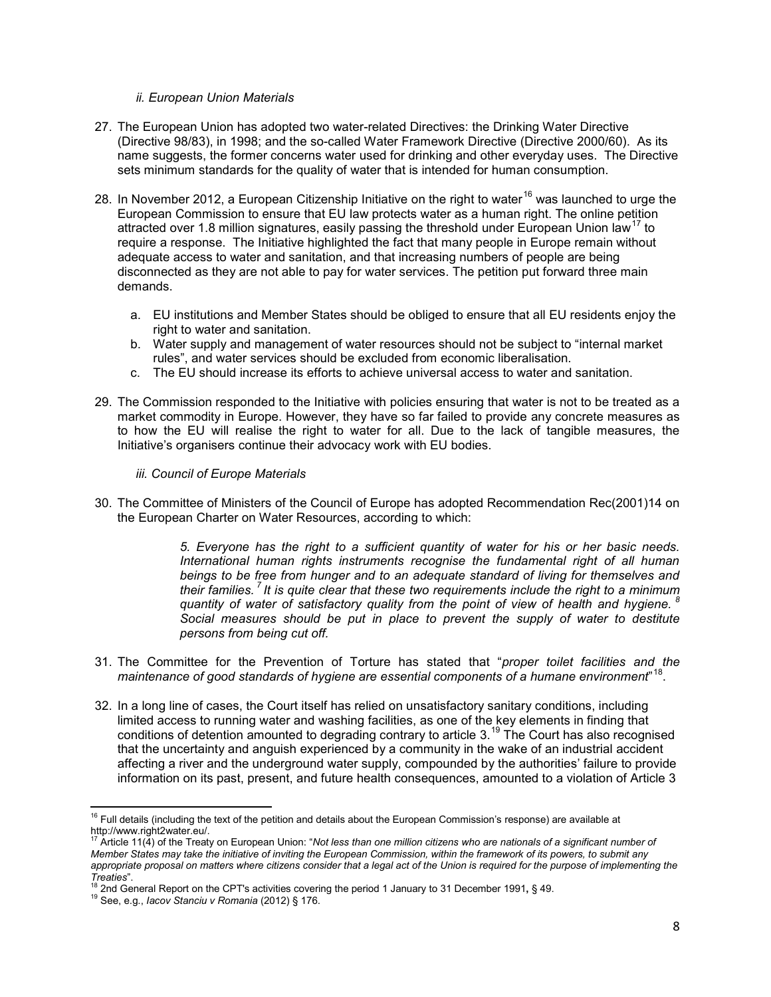#### *ii. European Union Materials*

- 27. The European Union has adopted two water-related Directives: the Drinking Water Directive (Directive 98/83), in 1998; and the so-called Water Framework Directive (Directive 2000/60). As its name suggests, the former concerns water used for drinking and other everyday uses. The Directive sets minimum standards for the quality of water that is intended for human consumption.
- 28. In November 2012, a European Citizenship Initiative on the right to water<sup>[16](#page-8-0)</sup> was launched to urge the European Commission to ensure that EU law protects water as a human right. The online petition attracted over 1.8 million signatures, easily passing the threshold under European Union law<sup>[17](#page-8-1)</sup> to require a response. The Initiative highlighted the fact that many people in Europe remain without adequate access to water and sanitation, and that increasing numbers of people are being disconnected as they are not able to pay for water services. The petition put forward three main demands.
	- a. EU institutions and Member States should be obliged to ensure that all EU residents enjoy the right to water and sanitation.
	- b. Water supply and management of water resources should not be subject to "internal market rules", and water services should be excluded from economic liberalisation.
	- c. The EU should increase its efforts to achieve universal access to water and sanitation.
- 29. The Commission responded to the Initiative with policies ensuring that water is not to be treated as a market commodity in Europe. However, they have so far failed to provide any concrete measures as to how the EU will realise the right to water for all. Due to the lack of tangible measures, the Initiative's organisers continue their advocacy work with EU bodies.
	- *iii. Council of Europe Materials*
- 30. The Committee of Ministers of the Council of Europe has adopted Recommendation Rec(2001)14 on the European Charter on Water Resources, according to which:

*5. Everyone has the right to a sufficient quantity of water for his or her basic needs. International human rights instruments recognise the fundamental right of all human beings to be free from hunger and to an adequate standard of living for themselves and their families. 7 It is quite clear that these two requirements include the right to a minimum quantity of water of satisfactory quality from the point of view of health and hygiene. <sup>8</sup> Social measures should be put in place to prevent the supply of water to destitute persons from being cut off.*

- 31. The Committee for the Prevention of Torture has stated that "*proper toilet facilities and the maintenance of good standards of hygiene are essential components of a humane environment*" [18](#page-8-2).
- 32. In a long line of cases, the Court itself has relied on unsatisfactory sanitary conditions, including limited access to running water and washing facilities, as one of the key elements in finding that conditions of detention amounted to degrading contrary to article 3.<sup>[19](#page-8-3)</sup> The Court has also recognised that the uncertainty and anguish experienced by a community in the wake of an industrial accident affecting a river and the underground water supply, compounded by the authorities' failure to provide information on its past, present, and future health consequences, amounted to a violation of Article 3

 $\overline{\phantom{a}}$ <sup>16</sup> Full details (including the text of the petition and details about the European Commission's response) are available at

<span id="page-8-1"></span><span id="page-8-0"></span>http://www.right2water.eu/. <sup>17</sup> Article 11(4) of the Treaty on European Union: "*Not less than one million citizens who are nationals of a significant number of Member States may take the initiative of inviting the European Commission, within the framework of its powers, to submit any*  appropriate proposal on matters where citizens consider that a legal act of the Union is required for the purpose of implementing the Treaties".<br><sup>18</sup> 2nd General Report on the CPT's activities covering the period 1 January to 31 December 1991, § 49.<br><sup>19</sup> See, e.g., *Iacov Stanciu v Romania* (2012) § 176.

<span id="page-8-3"></span><span id="page-8-2"></span>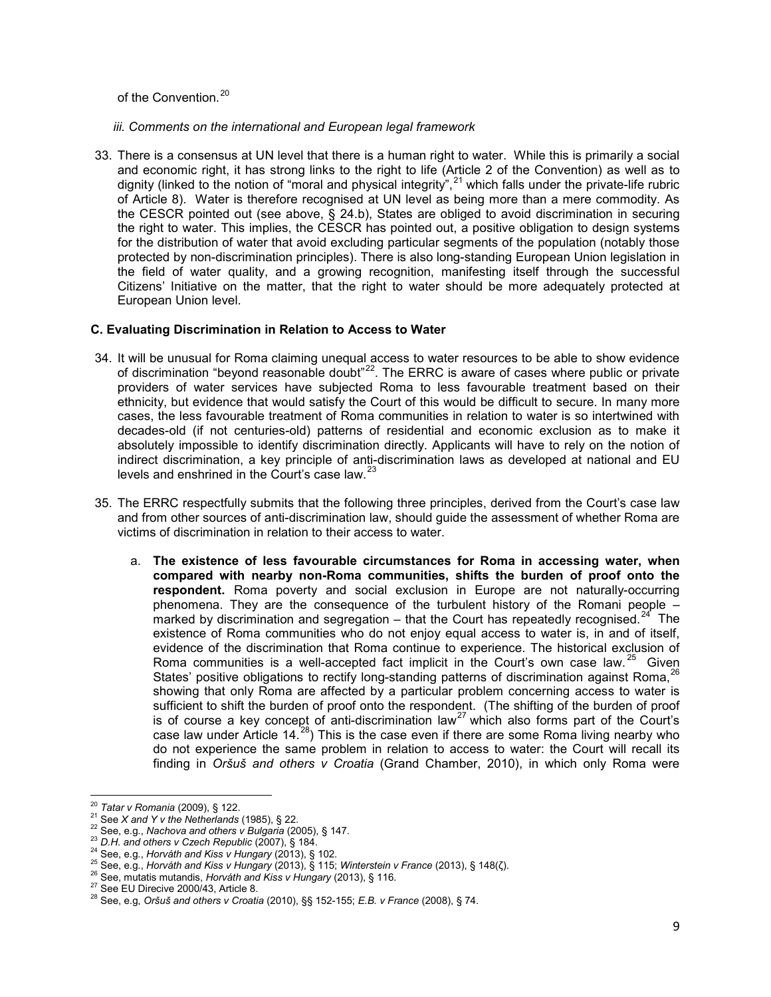of the Convention.<sup>[20](#page-9-0)</sup>

*iii. Comments on the international and European legal framework*

33. There is a consensus at UN level that there is a human right to water. While this is primarily a social and economic right, it has strong links to the right to life (Article 2 of the Convention) as well as to dignity (linked to the notion of "moral and physical integrity",<sup>[21](#page-9-1)</sup> which falls under the private-life rubric of Article 8). Water is therefore recognised at UN level as being more than a mere commodity. As the CESCR pointed out (see above, § 24.b), States are obliged to avoid discrimination in securing the right to water. This implies, the CESCR has pointed out, a positive obligation to design systems for the distribution of water that avoid excluding particular segments of the population (notably those protected by non-discrimination principles). There is also long-standing European Union legislation in the field of water quality, and a growing recognition, manifesting itself through the successful Citizens' Initiative on the matter, that the right to water should be more adequately protected at European Union level.

## **C. Evaluating Discrimination in Relation to Access to Water**

- 34. It will be unusual for Roma claiming unequal access to water resources to be able to show evidence of discrimination "beyond reasonable doubt"[22](#page-9-2). The ERRC is aware of cases where public or private providers of water services have subjected Roma to less favourable treatment based on their ethnicity, but evidence that would satisfy the Court of this would be difficult to secure. In many more cases, the less favourable treatment of Roma communities in relation to water is so intertwined with decades-old (if not centuries-old) patterns of residential and economic exclusion as to make it absolutely impossible to identify discrimination directly. Applicants will have to rely on the notion of indirect discrimination, a key principle of anti-discrimination laws as developed at national and EU levels and enshrined in the Court's case law.<sup>[23](#page-9-3)</sup>
- 35. The ERRC respectfully submits that the following three principles, derived from the Court's case law and from other sources of anti-discrimination law, should guide the assessment of whether Roma are victims of discrimination in relation to their access to water.
	- a. **The existence of less favourable circumstances for Roma in accessing water, when compared with nearby non-Roma communities, shifts the burden of proof onto the respondent.** Roma poverty and social exclusion in Europe are not naturally-occurring phenomena. They are the consequence of the turbulent history of the Romani people – marked by discrimination and segregation – that the Court has repeatedly recognised.<sup>24</sup> The existence of Roma communities who do not enjoy equal access to water is, in and of itself, evidence of the discrimination that Roma continue to experience. The historical exclusion of Roma communities is a well-accepted fact implicit in the Court's own case law.  $25$  Given States' positive obligations to rectify long-standing patterns of discrimination against Roma, <sup>[26](#page-9-6)</sup> showing that only Roma are affected by a particular problem concerning access to water is sufficient to shift the burden of proof onto the respondent. (The shifting of the burden of proof is of course a key concept of anti-discrimination law<sup>[27](#page-9-7)</sup> which also forms part of the Court's case law under Article 14.<sup>[28](#page-9-8)</sup>) This is the case even if there are some Roma living nearby who do not experience the same problem in relation to access to water: the Court will recall its finding in *Oršuš and others v Croatia* (Grand Chamber, 2010), in which only Roma were

<span id="page-9-0"></span> $20$  Tatar v Romania (2009), § 122.

<span id="page-9-2"></span>

<span id="page-9-3"></span>

<span id="page-9-4"></span>

<span id="page-9-1"></span><sup>&</sup>lt;sup>21</sup> See *X* and *Y* v the Netherlands (1985), § 22.<br>
<sup>22</sup> See, e.g., Nachova and others v Bulgaria (2005), § 147.<br>
<sup>23</sup> D.H. and others v Czech Republic (2007), § 184.<br>
<sup>24</sup> See, e.g., Horváth and Kiss v Hungary (2013),

<span id="page-9-7"></span><span id="page-9-6"></span><span id="page-9-5"></span>

<span id="page-9-8"></span>